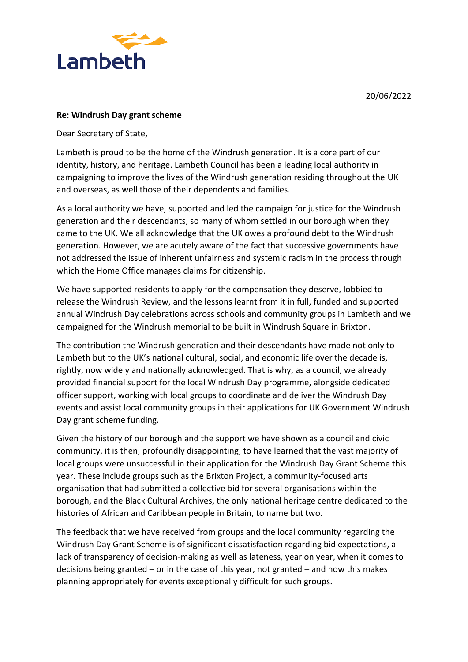20/06/2022



## **Re: Windrush Day grant scheme**

Dear Secretary of State,

Lambeth is proud to be the home of the Windrush generation. It is a core part of our identity, history, and heritage. Lambeth Council has been a leading local authority in campaigning to improve the lives of the Windrush generation residing throughout the UK and overseas, as well those of their dependents and families.

As a local authority we have, supported and led the campaign for justice for the Windrush generation and their descendants, so many of whom settled in our borough when they came to the UK. We all acknowledge that the UK owes a profound debt to the Windrush generation. However, we are acutely aware of the fact that successive governments have not addressed the issue of inherent unfairness and systemic racism in the process through which the Home Office manages claims for citizenship.

We have supported residents to apply for the compensation they deserve, lobbied to release the Windrush Review, and the lessons learnt from it in full, funded and supported annual Windrush Day celebrations across schools and community groups in Lambeth and we campaigned for the Windrush memorial to be built in Windrush Square in Brixton.

The contribution the Windrush generation and their descendants have made not only to Lambeth but to the UK's national cultural, social, and economic life over the decade is, rightly, now widely and nationally acknowledged. That is why, as a council, we already provided financial support for the local Windrush Day programme, alongside dedicated officer support, working with local groups to coordinate and deliver the Windrush Day events and assist local community groups in their applications for UK Government Windrush Day grant scheme funding.

Given the history of our borough and the support we have shown as a council and civic community, it is then, profoundly disappointing, to have learned that the vast majority of local groups were unsuccessful in their application for the Windrush Day Grant Scheme this year. These include groups such as the Brixton Project, a community-focused arts organisation that had submitted a collective bid for several organisations within the borough, and the Black Cultural Archives, the only national heritage centre dedicated to the histories of African and Caribbean people in Britain, to name but two.

The feedback that we have received from groups and the local community regarding the Windrush Day Grant Scheme is of significant dissatisfaction regarding bid expectations, a lack of transparency of decision-making as well as lateness, year on year, when it comes to decisions being granted – or in the case of this year, not granted – and how this makes planning appropriately for events exceptionally difficult for such groups.